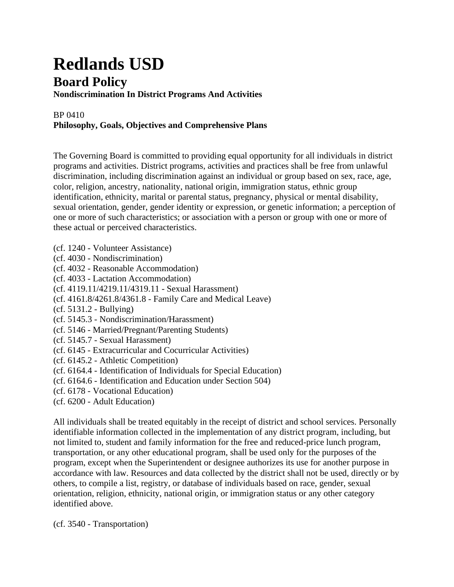## **Redlands USD Board Policy**

**Nondiscrimination In District Programs And Activities**

## BP 0410 **Philosophy, Goals, Objectives and Comprehensive Plans**

The Governing Board is committed to providing equal opportunity for all individuals in district programs and activities. District programs, activities and practices shall be free from unlawful discrimination, including discrimination against an individual or group based on sex, race, age, color, religion, ancestry, nationality, national origin, immigration status, ethnic group identification, ethnicity, marital or parental status, pregnancy, physical or mental disability, sexual orientation, gender, gender identity or expression, or genetic information; a perception of one or more of such characteristics; or association with a person or group with one or more of these actual or perceived characteristics.

- (cf. 1240 Volunteer Assistance)
- (cf. 4030 Nondiscrimination)
- (cf. 4032 Reasonable Accommodation)
- (cf. 4033 Lactation Accommodation)
- (cf. 4119.11/4219.11/4319.11 Sexual Harassment)
- (cf. 4161.8/4261.8/4361.8 Family Care and Medical Leave)
- (cf. 5131.2 Bullying)
- (cf. 5145.3 Nondiscrimination/Harassment)
- (cf. 5146 Married/Pregnant/Parenting Students)
- (cf. 5145.7 Sexual Harassment)
- (cf. 6145 Extracurricular and Cocurricular Activities)
- (cf. 6145.2 Athletic Competition)
- (cf. 6164.4 Identification of Individuals for Special Education)
- (cf. 6164.6 Identification and Education under Section 504)
- (cf. 6178 Vocational Education)
- (cf. 6200 Adult Education)

All individuals shall be treated equitably in the receipt of district and school services. Personally identifiable information collected in the implementation of any district program, including, but not limited to, student and family information for the free and reduced-price lunch program, transportation, or any other educational program, shall be used only for the purposes of the program, except when the Superintendent or designee authorizes its use for another purpose in accordance with law. Resources and data collected by the district shall not be used, directly or by others, to compile a list, registry, or database of individuals based on race, gender, sexual orientation, religion, ethnicity, national origin, or immigration status or any other category identified above.

(cf. 3540 - Transportation)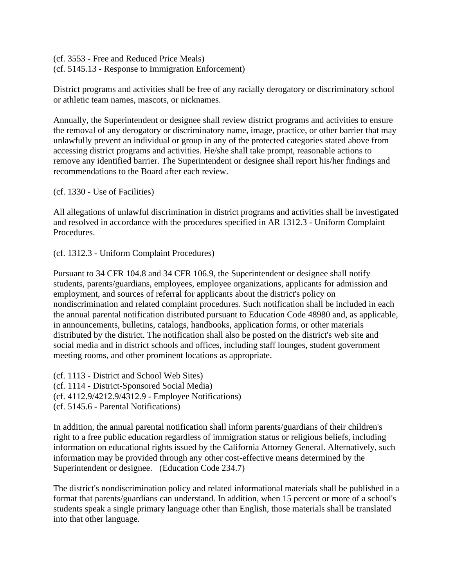(cf. 3553 - Free and Reduced Price Meals) (cf. 5145.13 - Response to Immigration Enforcement)

District programs and activities shall be free of any racially derogatory or discriminatory school or athletic team names, mascots, or nicknames.

Annually, the Superintendent or designee shall review district programs and activities to ensure the removal of any derogatory or discriminatory name, image, practice, or other barrier that may unlawfully prevent an individual or group in any of the protected categories stated above from accessing district programs and activities. He/she shall take prompt, reasonable actions to remove any identified barrier. The Superintendent or designee shall report his/her findings and recommendations to the Board after each review.

(cf. 1330 - Use of Facilities)

All allegations of unlawful discrimination in district programs and activities shall be investigated and resolved in accordance with the procedures specified in AR 1312.3 - Uniform Complaint Procedures.

(cf. 1312.3 - Uniform Complaint Procedures)

Pursuant to 34 CFR 104.8 and 34 CFR 106.9, the Superintendent or designee shall notify students, parents/guardians, employees, employee organizations, applicants for admission and employment, and sources of referral for applicants about the district's policy on nondiscrimination and related complaint procedures. Such notification shall be included in each the annual parental notification distributed pursuant to Education Code 48980 and, as applicable, in announcements, bulletins, catalogs, handbooks, application forms, or other materials distributed by the district. The notification shall also be posted on the district's web site and social media and in district schools and offices, including staff lounges, student government meeting rooms, and other prominent locations as appropriate.

(cf. 1113 - District and School Web Sites) (cf. 1114 - District-Sponsored Social Media) (cf. 4112.9/4212.9/4312.9 - Employee Notifications) (cf. 5145.6 - Parental Notifications)

In addition, the annual parental notification shall inform parents/guardians of their children's right to a free public education regardless of immigration status or religious beliefs, including information on educational rights issued by the California Attorney General. Alternatively, such information may be provided through any other cost-effective means determined by the Superintendent or designee. (Education Code 234.7)

The district's nondiscrimination policy and related informational materials shall be published in a format that parents/guardians can understand. In addition, when 15 percent or more of a school's students speak a single primary language other than English, those materials shall be translated into that other language.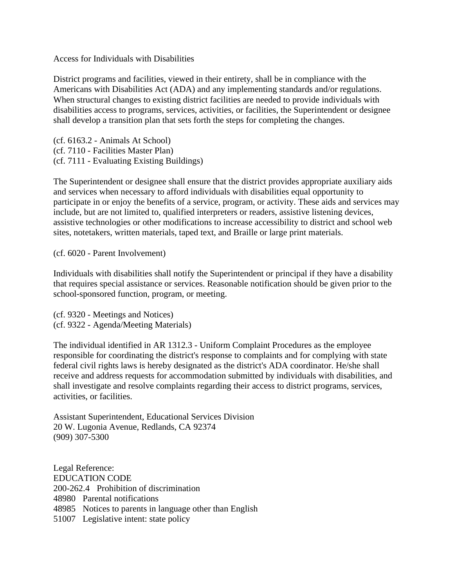Access for Individuals with Disabilities

District programs and facilities, viewed in their entirety, shall be in compliance with the Americans with Disabilities Act (ADA) and any implementing standards and/or regulations. When structural changes to existing district facilities are needed to provide individuals with disabilities access to programs, services, activities, or facilities, the Superintendent or designee shall develop a transition plan that sets forth the steps for completing the changes.

(cf. 6163.2 - Animals At School) (cf. 7110 - Facilities Master Plan) (cf. 7111 - Evaluating Existing Buildings)

The Superintendent or designee shall ensure that the district provides appropriate auxiliary aids and services when necessary to afford individuals with disabilities equal opportunity to participate in or enjoy the benefits of a service, program, or activity. These aids and services may include, but are not limited to, qualified interpreters or readers, assistive listening devices, assistive technologies or other modifications to increase accessibility to district and school web sites, notetakers, written materials, taped text, and Braille or large print materials.

(cf. 6020 - Parent Involvement)

Individuals with disabilities shall notify the Superintendent or principal if they have a disability that requires special assistance or services. Reasonable notification should be given prior to the school-sponsored function, program, or meeting.

(cf. 9320 - Meetings and Notices) (cf. 9322 - Agenda/Meeting Materials)

The individual identified in AR 1312.3 - Uniform Complaint Procedures as the employee responsible for coordinating the district's response to complaints and for complying with state federal civil rights laws is hereby designated as the district's ADA coordinator. He/she shall receive and address requests for accommodation submitted by individuals with disabilities, and shall investigate and resolve complaints regarding their access to district programs, services, activities, or facilities.

Assistant Superintendent, Educational Services Division 20 W. Lugonia Avenue, Redlands, CA 92374 (909) 307-5300

Legal Reference: EDUCATION CODE 200-262.4 Prohibition of discrimination 48980 Parental notifications 48985 Notices to parents in language other than English 51007 Legislative intent: state policy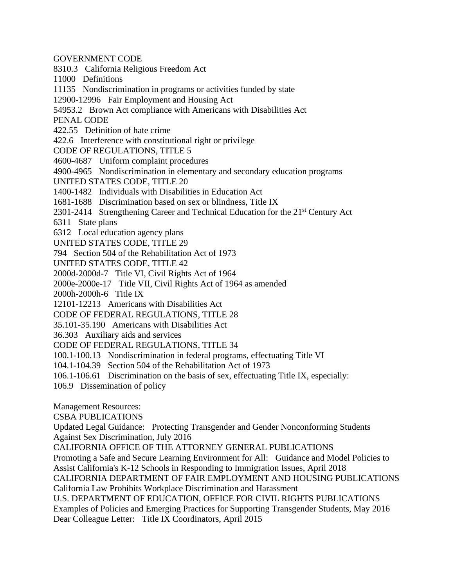GOVERNMENT CODE

8310.3 California Religious Freedom Act

11000 Definitions

11135 Nondiscrimination in programs or activities funded by state

12900-12996 Fair Employment and Housing Act

54953.2 Brown Act compliance with Americans with Disabilities Act

PENAL CODE

422.55 Definition of hate crime

422.6 Interference with constitutional right or privilege

CODE OF REGULATIONS, TITLE 5

4600-4687 Uniform complaint procedures

4900-4965 Nondiscrimination in elementary and secondary education programs

UNITED STATES CODE, TITLE 20

1400-1482 Individuals with Disabilities in Education Act

1681-1688 Discrimination based on sex or blindness, Title IX

2301-2414 Strengthening Career and Technical Education for the 21<sup>st</sup> Century Act

6311 State plans

6312 Local education agency plans

UNITED STATES CODE, TITLE 29

794 Section 504 of the Rehabilitation Act of 1973

UNITED STATES CODE, TITLE 42

2000d-2000d-7 Title VI, Civil Rights Act of 1964

2000e-2000e-17 Title VII, Civil Rights Act of 1964 as amended

2000h-2000h-6 Title IX

12101-12213 Americans with Disabilities Act

CODE OF FEDERAL REGULATIONS, TITLE 28

35.101-35.190 Americans with Disabilities Act

36.303 Auxiliary aids and services

CODE OF FEDERAL REGULATIONS, TITLE 34

100.1-100.13 Nondiscrimination in federal programs, effectuating Title VI

104.1-104.39 Section 504 of the Rehabilitation Act of 1973

106.1-106.61 Discrimination on the basis of sex, effectuating Title IX, especially:

106.9 Dissemination of policy

Management Resources:

CSBA PUBLICATIONS

Updated Legal Guidance: Protecting Transgender and Gender Nonconforming Students Against Sex Discrimination, July 2016

CALIFORNIA OFFICE OF THE ATTORNEY GENERAL PUBLICATIONS

Promoting a Safe and Secure Learning Environment for All: Guidance and Model Policies to Assist California's K-12 Schools in Responding to Immigration Issues, April 2018

CALIFORNIA DEPARTMENT OF FAIR EMPLOYMENT AND HOUSING PUBLICATIONS California Law Prohibits Workplace Discrimination and Harassment

U.S. DEPARTMENT OF EDUCATION, OFFICE FOR CIVIL RIGHTS PUBLICATIONS

Examples of Policies and Emerging Practices for Supporting Transgender Students, May 2016 Dear Colleague Letter: Title IX Coordinators, April 2015